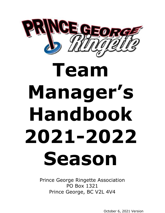

# **Team Manager's Handbook 2021-2022 Season**

Prince George Ringette Association PO Box 1321 Prince George, BC V2L 4V4

October 6, 2021 Version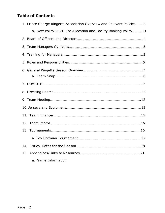# **Table of Contents**

| 1. Prince George Ringette Association Overview and Relevant Policies3 |  |
|-----------------------------------------------------------------------|--|
| a. New Policy 2021- Ice Allocation and Facility Booking Policy3       |  |
|                                                                       |  |
|                                                                       |  |
|                                                                       |  |
|                                                                       |  |
|                                                                       |  |
|                                                                       |  |
|                                                                       |  |
|                                                                       |  |
|                                                                       |  |
|                                                                       |  |
|                                                                       |  |
|                                                                       |  |
|                                                                       |  |
|                                                                       |  |
|                                                                       |  |
|                                                                       |  |
| a. Game Information                                                   |  |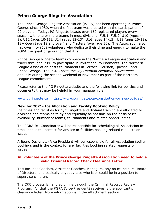# **Prince George Ringette Association**

The Prince George Ringette Association (PGRA) has been operating in Prince George since 1980, when the first team was created with the participation of 22 players. Today, PG Ringette boasts over 150 registered players every season with one or more teams in most divisions: FUN1, FUN2, U10 (Ages 4- 9), U12 (ages 10-11), U14 (ages 12-13), U16 (ages 14-15), U19 (ages 16-19), 18+ Open (age 19 and over) and Masters (over age 30). The Association also has over fifty (50) volunteers who dedicate their time and energy to make the PGRA the great organization that it is.

Prince George Ringette teams compete in the Northern League Association and travel throughout BC to participate in invitational tournaments. The Northern League Association hosts tournaments in Terrace, Houston, Quesnel, and Prince George. The PGRA hosts the *Joy Hoffman Memorial Tournament* annually during the second weekend of November as part of the Northern League commitment.

Please refer to the PG Ringette website and the following link for policies and documents that may be helpful in your manager role.

[www.pgringette.ca](http://www.pgringette.ca/) <https://www.pgringette.ca/constitution-bylaws-policies/>

#### **New for 2021- Ice Allocation and Facility Booking Policy**

Ice times and facilities for gym ringette and dryland training are allocated to divisions and teams as fairly and equitably as possible on the basis of ice availability, number of teams, tournaments and related opportunities

The PGRA Ice Coordinator will be responsible for scheduling all Association ice times and is the contact for any ice or facilities booking related requests or issues.

A Board Designate- Vice President will be responsible for all Association facility bookings and is the contact for any facilities booking related requests or issues.

#### **All volunteers of the Prince George Ringette Association need to hold a valid Criminal Record Check Clearance Letter.**

This includes Coaches, Assistant Coaches, Managers, any on ice helpers, Board of Directors, and basically anybody else who is or could be in a position to supervise children.

The CRC process is handled online through the Criminal Records Review Program. All that the PGRA (Vice-President) receives is the applicant's clearance letter. More information is in the attachment section.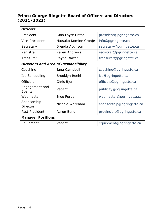# **Prince George Ringette Board of Officers and Directors (2021/2022)**

| Officel |
|---------|
|         |

| <b>Officers</b>                             |                                             |                           |  |  |
|---------------------------------------------|---------------------------------------------|---------------------------|--|--|
| President                                   | Gina Layte Liston                           | president@pgringette.ca   |  |  |
| <b>Vice-President</b>                       | Natsuko Komine Cronje<br>info@pgringette.ca |                           |  |  |
| Secretary                                   | Brenda Atkinson                             | secretary@pgringette.ca   |  |  |
| Registrar                                   | Karen Andrews                               | registrar@pgringette.ca   |  |  |
| Treasurer                                   | Rayna Barter                                | treasurer@pgringette.ca   |  |  |
| <b>Directors and Area of Responsibility</b> |                                             |                           |  |  |
| Coaching                                    | Jana Campbell                               | coaching@pgringette.ca    |  |  |
| Ice Scheduling                              | Brooklyn Roehl                              | ice@pgringette.ca         |  |  |
| <b>Officials</b>                            | Chris Bjorn                                 | officials@pgringette.ca   |  |  |
| Engagement and<br>Events                    | Vacant<br>publicity@pgringette.ca           |                           |  |  |
| Webmaster                                   | <b>Bree Purden</b>                          | webmaster@pgringette.ca   |  |  |
| Sponsorship<br>Director                     | Nichole Wareham                             | sponsorship@pgringette.ca |  |  |
| Past President                              | Aaron Bond                                  | provincials@pgringette.ca |  |  |
| <b>Manager Positions</b>                    |                                             |                           |  |  |
| Equipment                                   | Vacant                                      | equipment@pgringette.ca   |  |  |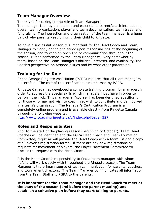# **Team Manager Overview**

Thank you for taking on the role of Team Manager! The manager is a key component and essential to parent/coach interactions, overall team organization, player and team documentation, team travel and fundraising. The interaction and organization of the team manager is a huge part of why parents keep bringing their child to Ringette.

To have a successful season it is important for the Head Coach and Team Manager to clearly define and agree upon responsibilities at the beginning of the season, and to keep an open line of communication throughout the season. Duties performed by the Team Manager will vary somewhat by team, based on the Team Manager's abilities, interests, and availability, the Coach's perspective on responsibilities and by what other parents do.

# **Training for the Role**

Prince George Ringette Association (PGRA) requires that all team managers be certified. The cost of the certification is reimbursed by PGRA.

Ringette Canada has developed a complete training program for managers in order to address the special skills which managers must have in order to perform their job. This managerial "course" has been designed specifically for those who may not wish to coach, yet wish to contribute and be involved in a team's organization. The Manager's Certification Program is a completely online program and is available directly from Ringette Canada through the following website:

<http://www.coachingringette.ca/c/index.php?page=327>

# **Roles and Responsibilities**

Prior to the start of the playing season (beginning of October), Team Head Coaches will be identified and the PGRA Head Coach and Team Formation Committee/Registrar will provide the Head Coach with a team list and a copy of all player's registration forms. If there are any new registrations or requests for movement of players, the Player Movement Committee will discuss the request with the Head Coach.

It is the Head Coach's responsibility to find a team manager with whom he/she will work closely with throughout the Ringette season. The Team Manager is the primary source of team communication for parents, coaches, and tournament directors. The Team Manager communicates all information from the Team Staff and PGRA to the parents.

**It is important for the Team Manager and the Head Coach to meet at the start of the season (and before the parent meeting) and establish a cohesive plan before they start talking to parents.**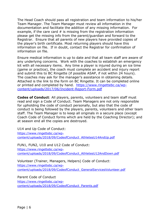The Head Coach should pass all registration and team information to his/her Team Manager. The Team Manager must review all information in the documentation and facilitate the addition of any missing information. For example, if the care card  $#$  is missing from the registration information please get the missing info from the parent/guardian and forward to the Registrar. Ensure that all parents of new players have provided copies of the player's birth certificate. Most returning players should have this information on file. If in doubt, contact the Registrar for confirmation of information on file.

Ensure medical information is up to date and that all team staff are aware of any underlying concerns. Work with the coaches to establish an emergency kit with all necessary items. Any time a player is injured during an ice time (game or practice), the coach must complete an accident and injury report and submit this to BC Ringette (if possible ASAP, if not within 24 hours). The coaches may ask for the manager's assistance in obtaining details. Attached is the link to the form on BC Ringette. It can be completed online or printed and completed by hand. [https://www.ringettebc.ca/wp](https://www.ringettebc.ca/wp-content/uploads/2017/06/Incident-Report-Form.pdf)[content/uploads/2017/06/Incident-Report-Form.pdf](https://www.ringettebc.ca/wp-content/uploads/2017/06/Incident-Report-Form.pdf)

**Codes of Conduct**: All players, parents, volunteers and team staff must read and sign a Code of Conduct. Team Managers are not only responsible for upholding the code of conduct personally, but also that the code of conduct is being followed by the players, parents, volunteers and other team staff. The Team Manager is to keep all originals in a secure place (except Coach Code of Conduct forms which are held by the Coaching Director); and at season end all the copies are destroyed.

U14 and Up Code of Conduct: [https://www.ringettebc.ca/wp](https://www.ringettebc.ca/wp-content/uploads/2018/09/CodeofConduct_AthletesU14AndUp.pdf)[content/uploads/2018/09/CodeofConduct\\_AthletesU14AndUp.pdf](https://www.ringettebc.ca/wp-content/uploads/2018/09/CodeofConduct_AthletesU14AndUp.pdf)

FUN1, FUN2, U10 and U12 Code of Conduct: [https://www.ringettebc.ca/wp](https://www.ringettebc.ca/wp-content/uploads/2018/09/CodeofConduct_AthletesU12AndDown.pdf)[content/uploads/2018/09/CodeofConduct\\_AthletesU12AndDown.pdf](https://www.ringettebc.ca/wp-content/uploads/2018/09/CodeofConduct_AthletesU12AndDown.pdf)

Volunteer (Trainer, Managers, Helpers) Code of Conduct: [https://www.ringettebc.ca/wp](https://www.ringettebc.ca/wp-content/uploads/2018/09/CodeofConduct_GeneralServicesVolunteer.pdf)[content/uploads/2018/09/CodeofConduct\\_GeneralServicesVolunteer.pdf](https://www.ringettebc.ca/wp-content/uploads/2018/09/CodeofConduct_GeneralServicesVolunteer.pdf)

Parent Code of Conduct [https://www.ringettebc.ca/wp](https://www.ringettebc.ca/wp-content/uploads/2018/09/CodeofConduct_Parents.pdf)[content/uploads/2018/09/CodeofConduct\\_Parents.pdf](https://www.ringettebc.ca/wp-content/uploads/2018/09/CodeofConduct_Parents.pdf)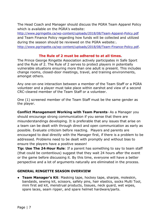The Head Coach and Manager should discuss the PGRA Team Apparel Policy which is available on the PGRA's website:

<http://www.pgringette.ca/wp-content/uploads/2018/08/Team-Apparel-Policy.pdf> and Team Finance Policy regarding how funds will be collected and utilized during the season should be reviewed on the PGRA website:.

<http://www.pgringette.ca/wp-content/uploads/2018/08/Team-Finance-Policy.pdf>.

## **The Rule of 2 must be adhered to at all times.**

The Prince George Ringette Association actively participates in Safe Sport and the Rule of 2. The Rule of 2 serves to protect players in potentially vulnerable situations ensuring more than one adult is present. This includes change rooms, closed-door meetings, travel, and training environments, amongst others.

Any one-on-one interaction between a member of the Team Staff or a PGRA volunteer and a player must take place within earshot and view of a second CRC-cleared member of the Team Staff or a volunteer.

One (1) screened member of the Team Staff must be the same gender as the player.

**Conflict Management Working with Team Parents**- As a Manager you should encourage strong communication if you sense that there are misunderstandings developing. It is preferable that any issues that arise on a team can be dealt with through direct and open communication as early as possible. Evaluate criticism before reacting. Players and parents are encouraged to deal directly with the Manager first, if there is a problem to be addressed. Problems need to be dealt with promptly and without bias to ensure the players have a positive season!

**Tip: Use The 24**‐**Hour Rule**: If a parent has something to say to team staff (that could be contentious) suggest that they wait 24 hours after the event or the game before discussing it. By this time, everyone will have a better perspective and a lot of arguments naturally are eliminated in the process.

### **GENERAL RINGETTE SEASON OVERVIEW**

● **Team Manager's Kit**: Masking tape, hockey tape, sharpie, moleskin, bandaids, sewing kit, scissors, safety pins, hair elastics, socks Multi Tool, mini first aid kit, menstrual products, tissues, neck guard, wet wipes, spare laces, seam ripper, and spare helmet hardware/parts.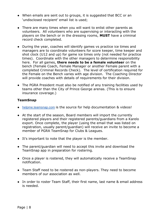- When emails are sent out to groups, it is suggested that BCC or an 'undisclosed recipient' email list is used;
- There are many times when you will want to enlist other parents as volunteers. All volunteers who are supervising or interacting with the players on the bench or in the dressing rooms, **MUST** have a criminal record check completed.
- During the year, coaches will identify games vs practice ice times and managers are to coordinate volunteers for score keeper, time keeper and shot clock (U12 and up) for game ice times only (not needed for practice times). Coordinate with the other managers to determine responsibility here. For all games, **there needs to be a female volunteer** on the bench (Female Coach, Female Manager or another Female parent with a completed Criminal Records Check). The level of certification required for the Female on the Bench varies with age division. The Coaching Director will provide coaches with details of requirements for their division.
- The PGRA President must also be notified of any training facilities used by teams other than the City of Prince George arenas. (This is to ensure insurance coverage.)

#### **TeamSnap**

- [helpme.teamsnap.com](http://helpme.teamsnap.com/) is the source for help documentation & videos!
- At the start of the season, Board members will import the currently registered players and their registered parents/guardians from a Karelo export. Once complete, the player (using the email that was listed on registration, usually parent/guardian) will receive an invite to become a member of PGRA TeamSnap for Clubs & Leagues.
- It's important to note that the player is the member.
- The parent/quardian will need to accept this invite and download the TeamSnap app in preparation for rostering.
- Once a player is rostered, they will automatically receive a TeamSnap notification.
- Team Staff need to be rostered as non-players. They need to become members of our association as well.
- In order to roster Team Staff, their first name, last name & email address is needed.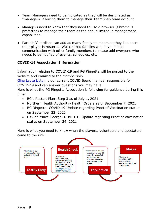- Team Managers need to be indicated as they will be designated as "managers" allowing them to manage their TeamSnap team account.
- Managers need to know that they need to use a browser (Chrome is preferred) to manage their team as the app is limited in management capabilities.
- Parents/Guardians can add as many family members as they like once their player is rostered. We ask that families who have limited communication with other family members to please add everyone who needs to be notified of events, schedules, etc.

## **COVID-19 Association Information**

Information relating to COVID-19 and PG Ringette will be posted to the website and emailed to the membership.

[Gina Layte Liston](mailto:president@pgringette.ca) is our current COVID Board member responsible for COVID-19 and can answer questions you may have.

Here is what the PG Ringette Association is following for guidance during this time:

- BC's Restart Plan- Step 3 as of July 1, 2021
- Northern Health Authority- Health Orders as of September 7, 2021
- BC Ringette- COVID-19 Update regarding Proof of Vaccination status on September 22, 2021
- City of Prince George- COVID-19 Update regarding Proof of Vaccination status on September 24, 2021

Here is what you need to know when the players, volunteers and spectators come to the rink:

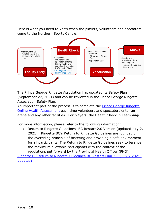Here is what you need to know when the players, volunteers and spectators come to the Northern Sports Centre:



The Prince George Ringette Association has updated its Safety Plan (September 27, 2021) and can be reviewed in the Prince George Ringette Association Safety Plan.

An important part of the process is to complete the **Prince George Ringette** [Online Health Assessment](https://docs.google.com/forms/d/1jFnTog4ZgpqDCuEPg0YlEC8LpoQekQ7SeAh241Eh-V8/edit) each time volunteers and spectators enter an arena and any other facilities. For players, the Health Check in TeamSnap.

For more information, please refer to the following information:

• Return to Ringette Guidelines- BC Restart 2.0 Version (updated July 2, 2021). Ringette BC's Return to Ringette Guidelines are founded on the overriding principle of fostering and providing a safe environment for all participants. The Return to Ringette Guidelines seek to balance the maximum allowable participants with the context of the regulations put forward by the Provincial Health Officer (PHO).

[Ringette BC Return to Ringette Guidelines BC Restart Plan 2.0 \(July 2 2021](https://www.ringettebc.ca/wp-content/uploads/2021/07/Ringette-BC-Return-to-Ringette-Guidelines-BC-Restart-Plan-2.0-July-2-2021-updated.pdf) [updated\)](https://www.ringettebc.ca/wp-content/uploads/2021/07/Ringette-BC-Return-to-Ringette-Guidelines-BC-Restart-Plan-2.0-July-2-2021-updated.pdf)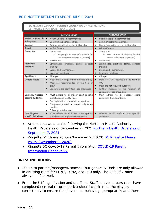## BC RINGETTE RETURN TO SPORT- JULY 1, 2021

# BC RESTART 2.0 PLAN - FURTHER LOOSENING OF RESTRICTIONS

|  |  | STIMATED START DATE: JULY 1, 2021 |
|--|--|-----------------------------------|
|  |  |                                   |

|                      | <b>INDOOR SPORT</b>                                   | <b>OUTDOOR SPORT</b>                               |
|----------------------|-------------------------------------------------------|----------------------------------------------------|
| Health Checks & I    | Health Checks - Recommended<br>$\bullet$              | Health Checks - Recommended                        |
| <b>Safety Plans</b>  | Communicable Disease Plans<br>٠                       | Communicable Disease Plans                         |
| Contact              | Contact permitted on the field of play<br>٠           | Contact permitted on the field of play             |
| Travel               | Within Canada<br>٠                                    | Within Canada                                      |
| <b>Group Size</b>    | Group size:<br>٠                                      | Group size:                                        |
|                      | 50 people or 50% of Capacity for<br>$\circ$           | o 5000 or 50% of capacity for the                  |
|                      | the venue (whichever is greater)                      | venue (whichever is greater)                       |
|                      | No cohorts                                            | No cohorts                                         |
| Permitted            | Scrimmages, practices, games, contact<br>$\bullet$    | Scrimmages, practices, games, contact<br>$\bullet$ |
| <b>Activities</b>    | training                                              | training                                           |
|                      | Events and Tournaments                                | Events and Tournaments                             |
|                      | In person meetings                                    | In person meetings                                 |
| Age Groups           | All Ages<br>٠                                         | All Ages                                           |
| <b>General Notes</b> | Mask are NOT required on the Field of Play<br>٠       | Mask are NOT required on the Field of<br>٠         |
|                      | Mask are recommended off the field of                 | Play                                               |
|                      | play <sup>4</sup>                                     | Mask are not required outdoors                     |
|                      | Spectators are permitted - see group size             | Further increase to the number of                  |
|                      |                                                       | Spectators - see group size                        |
| Come Try Ringette    | Must adhere to all indoor sport specific<br>٠         | Must adhere to all outdoor sport                   |
| specific guidelines  | guidelines and facility rules                         | guidelines if held outdoors.                       |
|                      | Pre-registration to maintain group sizes              |                                                    |
|                      | Equipment should be shared only when<br>needed.       |                                                    |
|                      | Follow group size rules                               |                                                    |
| <b>Gym Ringette</b>  | Must adhere to all indoor sport specific<br>$\bullet$ | adheres to all outdoor sport specific              |
| specific Guidelines: | guidelines and applicable facility rules              | guidelines                                         |

- At this time we are also following the Northern Health Authority-Health Orders as of September 7, 2021 Northern Health Orders as of [September 7, 2021](https://www2.gov.bc.ca/assets/gov/health/about-bc-s-health-care-system/office-of-the-provincial-health-officer/covid-19/covid-19-mho-nh-gatherings-events.pdf)
- Ringette BC Illness Policy (November 9, 2020) BC Ringette Illness [Policy \(November 9, 2020\)](file:///C:/Users/envir/Documents/Custom%20Office%20Templates)
- Ringette BC COVID-19 Parent Information [COVID-19 Parent](https://www.ringettebc.ca/wp-content/uploads/2020/09/COVID-19-Parent-Information-Handout-V2.docx.pdf)  [Information Handout-V2](https://www.ringettebc.ca/wp-content/uploads/2020/09/COVID-19-Parent-Information-Handout-V2.docx.pdf)

#### **DRESSING ROOMS**

- It's up to parents/managers/coaches- but generally Dads are only allowed in dressing room for FUN1, FUN2, and U10 only. The Rule of 2 must always be followed.
- From the U12 age division and up, Team Staff and volunteers (that have completed criminal record checks) should check in on the players consistently to ensure the players are behaving appropriately and there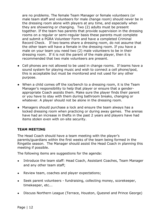are no problems. The female Team Manager or female volunteers (or male team staff and volunteers for male change room) should never be in the dressing room alone with players at any time, and especially when they are showering or changing. Two (2) adults must be present together. If the team has parents that provide supervision in the dressing rooms on a regular or semi-regular basis these parents must complete and submit a PGRA Volunteer Form and have a completed Criminal Record Check. If two teams share a dressing room, do not assume that the other team will have a female in the dressing room. If you have a male on your team you need two (2) male volunteers to be in their dressing room. If it is not the parent of the male player, then it is recommended that two male volunteers are present.

- Cell phones are not allowed to be used in change rooms. If teams have a sound system for playing music and wish to connect a cell phone/ipod, this is acceptable but must be monitored and not used for any other purpose.
- When a child comes off the ice/bench to a dressing room, it is the Team Manager's responsibility to help that player or ensure that a genderappropriate Coach assists them. Make sure the player finds their parent or you have to stay with them during bathroom breaks, changing or whatever. A player should not be alone in the dressing room.
- Managers should purchase a lock and ensure the team always has a locked dressing room when practicing or during away games. The arenas have had an increase in thefts in the past 2 years and players have had items stolen even with on-site security.

### **TEAM MEETING**

The Head Coach should have a team meeting with the player's parents/guardians within the first weeks of the team being formed in the Ringette season. The Manager should assist the Head Coach in planning this meeting if possible.

The following items are suggestions for the agenda:

- Introduce the team staff: Head Coach, Assistant Coaches, Team Manager and any other team staff;
- Review team, coaches and player expectations;
- Seek parent volunteers fundraising, collecting money, scorekeeper, timekeeper, etc...
- Discuss Northern League (Terrace, Houston, Quesnel and Prince George)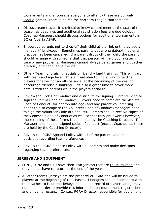tournaments and encourage everyone to attend- these are our only league games. There is no fee for Northern League tournaments.

- Discuss team travel- it is critical to know commitment at the start of the season as deadlines and additional registration fees are due quickly. Coaches/Managers should discuss options for additional tournaments in BC or Alberta ASAP.
- Encourage parents not to drop off their child at the rink until they see a manager/friend/coach. Sometimes parents get wrong dates/times or a practice has been cancelled. If a parent drops off their child the parent should arrange with someone that that person will help your skater in case of any problems. Managers cannot always be at games and coaches are busy and can't leave the ice.
- Other- Team fundraising, socials off ice, dry land training. This will vary with team and age level. It is a great idea to find a way to get the players together for an off-ice social at the beginning of the year to encourage friendship-building. It's also a great time to cover more details with the parents while the players socialize.
- Review the Codes of Conduct and distribute for signing. Parents need to sign the Parent Code of Conduct. Players need to complete the Athlete Code of Conduct (for appropriate age) and any parent volunteering needs to also complete the Volunteer Code of Conduct (Managers need to sign the Volunteer Code of Conduct). Parents should receive copies of the Coaches' Code of Conduct as well so that they are aware; however, the retaining of these forms is completed by the Coaching Director. The Manager is to keep all signed codes of conduct (except Coaches' as these are held by the Coaching Director).
- Review the PGRA Apparel Policy with all of the parents and make decisions regarding team preferences.
- Review the PGRA Finance Policy with all parents and make decisions regarding team preferences.

### **JERSEYS AND EQUIPMENT**

- FUN1, FUN2 and U10 have their own jerseys that are theirs to keep and they do not have to return at the end of the year.
- All other teams- jerseys are the property of PGRA and will be issued to players at the beginning of the season. Managers should coordinate with the coaches to issue the jerseys and keep a record of players and jersey numbers in order to provide this information on tournament registrations and on game rosters. Contact PGRA Director responsible for equipment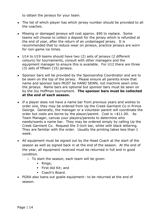to obtain the jerseys for your team.

- The list of which player has which jersey number should be provided to all the coaches.
- Missing or damaged jerseys will cost approx. \$90 to replace. Some teams will choose to collect a deposit for the jersey which is refunded at the end of year, after the return of an undamaged jersey. It is recommended that to reduce wear on jerseys, practice jerseys are worn for non-game ice times.
- U14 to U19 teams should have two (2) sets of jerseys (2 different colours) for tournaments, consult with other managers and the equipment manager to ensure this is available. For U12 there are three (3) sets of fifteen (15) jerseys.
- Sponsor bars will be provided by the Sponsorship Coordinator and are to be sewn on the top of the jersey. Please ensure all parents know that name and sponsor bars MUST be HAND SEWN, not machine sewn onto the jerseys. Name bars are optional but sponsor bars must be sewn on by the Joy Hoffman tournament. **The sponsor bars must be collected at the end of each season.**
- If a player does not have a name bar from previous years and wishes to order one, they may be ordered from Up the Creek Garment Co in Prince George. Generally, the manager or a volunteer parent will coordinate the order but costs are borne by the player/parent. Cost is  $\sim$ \$11.00. As Team Manager, canvas your players/parents to determine who needs/wants a name bar. They may be ordered simply by calling Up the Creek Garment Co. Request the 3-inch bar, white with black lettering. They are familiar with the order. Usually the printing takes less than 1 week.
- All equipment must be signed out by the Head Coach at the start of the season as well as signed back in at the end of the season. At the end of the year, all equipment received must be returned in full and in good condition.
	- o To start the season, each team will be given:
		- Rings;
		- First Aid Kit; and
		- Coach's Board.
- PGRA also loans out goalie equipment– to be returned at the end of season.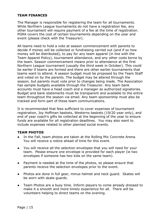### **TEAM FINANCES**

The Manager is responsible for registering the team for all tournaments. While Northern League tournaments do not have a registration fee, any other tournament will require payment of a fee at the time of registration. PGRA covers the cost of certain tournaments depending on the year and event (please check with the Treasurer).

All teams need to hold a vote at season commencement with parents to decide if money will be collected or fundraising carried out (and if so how money will be distributed), to pay for any team apparel (in line with the Team Apparel Policy), tournament attendance, and any other costs borne by the team. Season commencement means prior to attendance at the first Northern League tournament (usually the third week in October). This could be earlier if teams are formed and there are other earlier tournaments that teams want to attend. A season budget must be proposed by the Team Staff and voted on by the parents. The budget may be altered through the season, but parents must vote prior to changes being made. The Association has sample budgets available through the Treasurer. Any team bank accounts must have a head coach and a manager as authorized signatories. Budget and bank statements must be transparent and available to the entire team throughout the season via email. Any team sponsorship must also be tracked and form part of these team communications.

It is recommended that fees sufficient to cover expenses of tournament registration, Joy Hoffman baskets, Westerns baskets (19/20 year only), and end of year coach's gifts be collected at the beginning of the year to ensure funds are available for all registration deadlines. You may also want to include expenses related to other planned social events.

#### **TEAM PHOTOS**

- In the Fall, team photos are taken at the Rolling Mix Concrete Arena. You will receive a notice ahead of time for this event.
- You will receive all the selection envelopes that you will need for your team. Please ensure one envelope is provided for each player (ie two envelopes if someone has two kids on the same team).
- Payment is needed at the time of the photos, so please ensure that parents receive the selection envelopes prior to the event.
- Photos are done in full gear, minus helmet and neck guard. Skates will be worn with skate guards.
- Team Photos are a busy time. Inform players to come already dressed to make it a smooth and more timely experience for all. There will be volunteers helping to direct teams on the evening.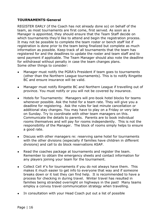## **TOURNAMENTS-General**

REGISTER EARLY (if the Coach has not already done so) on behalf of the team, as most tournaments are first come, first served. As soon as a Manager is appointed, they should ensure that the Team Staff decide on which tournaments they'd like to attend and begin the registration process. It may not be possible to complete the team roster or bench staff list if registration is done prior to the team being finalized but complete as much information as possible. Keep track of all tournaments that the team has registered for and the deadlines to update the roster and team staff and to send payment if applicable. The Team Manager should also note the deadline for withdrawal without penalty in case the team changes plans. Some other things to consider:

- Manager must notify the PGRA's President if team goes to tournaments (other than the Northern League tournaments). This is to notify Ringette BC and ensure insurance will be valid.
- Manager must notify Ringette BC and Northern League if travelling out of province. You must notify or you will not be covered by insurance.
- Hotels for Tournaments: Managers will pre-book hotel blocks for teams whenever possible. Ask the hotel for a team rate. They will give you a deadline for registering. Ask the rules for last minute cancellation or additional stay changes. You may have to play on a Friday or very late on Sunday. Try to coordinate with other team managers on this. Communicate the details to parents. Parents are to book individual rooms themselves and will pay for rooms independently. This is not the responsibility of the Manager. The block of rooms simply helps to ensure a good rate.
- Discuss with other managers re: reserving same hotel for tournaments with the other divisions (especially if families have children in different divisions) and call to do block reservations ASAP.
- Read the coaches package at tournaments and register the team. Remember to obtain the emergency sheets and contact information for any players joining your team for the tournament.
- Collect Cell  $#$ 's for tournaments if you do not always have them. This makes it much easier to get info to everyone that way and if someone breaks down or it lost they can find help. It is recommended to have a process for checking in during travel. Winter travel has resulted in families being stranded overnight on highways in the past! Many teams employ a convoy travel communication strategy when travelling.
- In consultation with your Head Coach put out a list of possible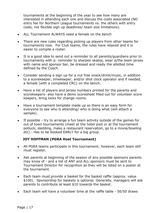tournaments at the beginning of the year to see how many are interested in attending each one and discuss the costs associated (NO entry fee for Northern League tournaments vs. the others with entry costs, not flexible sign up deadlines/ team size limitations).

- ALL Tournament ALWAYS need a female on the bench
- There are new rules regarding picking up players from other teams for tournaments now. For Club teams, the rules have relaxed and it is easier to compile a roster.
- It is a good idea to send out a reminder to all parents/guardians prior to tournaments with a: reminder to sharpen skates, wear a/the team jersey with name and sponsor bar, be dressed and ready the allotted time defined by the Coach.
- Consider sending a sign up for a nut free snack/drink/music, in addition to a scorekeeper, timekeeper, and/or shot clock operator and if needed, a female (with a completed CRC) on the bench.
- Have a list of players and jersey numbers printed for the parents and scorekeepers- also have a demo scoresheet filled out for volunteer score keepers, bring locks for change rooms.
- Have a tournament template made up so there is an easy form for everyone to see who is attending/ who is doing what (will attach a sample).
- If possible try to arrange a fun team activity outside of the games for out of town tournaments (meet at the hotel pool or at the tournament potluck, sledding, make a restaurant reservation, go to a movie/bowling etc) - Has to be booked EARLY for a big group.

### **JOY HOFFMAN (PGRA Host Tournament)**

- All PGRA teams participate in this tournament; however, each team still must register.
- Ask parents at beginning of the season of any possible sponsors parents may know of - and a list of ANY and ALL sponsors must be sent to Tournament Director for recognition as they will be listed on a poster at the tournament.
- Each team must provide a basket for the basket raffle (approx. value \$100). Sponsorship for baskets is optional. Generally, managers will ask parents to contribute at least \$10 towards the basket.
- Each team will have a volunteer time at the raffle table 50/50 draws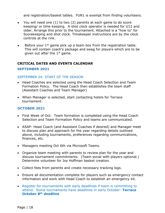and registration/basket tables. FUN1 is exempt from finding volunteers.

- You will need one (1) to two (2) parents at each game to do score keeping/ or time keeping. A shot clock operator is needed for U12 and older. Arrange this prior to the tournament. Attached is a "how to" for Scorekeeping and shot clock. Timekeeper instructions are by the clock controls at the rink.
- **•** Before your  $1^{st}$  game pick up a team box from the registration table. This will contain coach's package and swag for players which are to be given out after the 1<sup>st</sup> game.

#### **CRITICAL DATES AND EVENTS CALENDAR**

#### **SEPTEMBER 2021**

#### SEPTEMBER 24: START OF THE SEASON

- Head Coaches are selected using the Head Coach Selection and Team Formation Policy. The Head Coach then establishes the team staff (Assistant Coaches and Team Manager)
- When Manager is selected, start contacting hotels for Terrace tournament.

#### **OCTOBER 2021**

- First Week of Oct: Team formation is completed using the Head Coach Selection and Team Formation Policy and teams are communicated.
- ASAP- Head Coach (and Assistant Coaches if desired) and Manager meet to discuss plan and approach for the year regarding details outlined above, including tournaments, preferences regarding communications, finances, etc.
- Managers meeting Oct 6th via Microsoft Teams.
- Organize team meeting with parents to review plan for the year and discuss tournament commitments. (Team social with players optional.) Determine volunteer for Joy Hoffman basket creation.
- Collect fees from parents and create necessary tracking logs.
- Ensure all documentation complete for players such as emergency contact information and work with Head Coach to establish an emergency kit.
- Register for tournaments with early deadlines if team is committing to attend. Some tournaments have deadlines in early October- **Terrace October 8th deadline**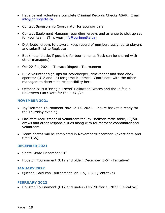- Have parent volunteers complete Criminal Records Checks ASAP. Email [info@pgringette.ca](file:///C:/Users/envir/Desktop/Ringette/info@pgringette.ca)
- Contact Sponsorship Coordinator for sponsor bars
- Contact Equipment Manager regarding jerseys and arrange to pick up set for your team. (This year [info@pgringette.ca\)](file:///C:/Users/envir/Desktop/Ringette/info@pgringette.ca)
- Distribute jerseys to players, keep record of numbers assigned to players and submit list to Registrar.
- Book hotel blocks if possible for tournaments (task can be shared with other managers).
- Oct 22-24, 2021 Terrace Ringette Tournament
- Build volunteer sign-ups for scorekeeper, timekeeper and shot clock operator (U12 and up) for game ice times. Coordinate with the other managers to determine responsibility here.
- October 28 is a 'Bring a Friend' Halloween Skates and the 29<sup>th</sup> is a Halloween Fun Skate for the FUN1/2s.

#### **NOVEMBER 2021**

- Joy Hoffman Tournament Nov 12-14, 2021. Ensure basket is ready for the Thursday evening.
- Facilitate recruitment of volunteers for Joy Hoffman raffle table, 50/50 draws and other responsibilities along with tournament coordinator and volunteers.
- Team photos will be completed in November/December- (exact date and time TBA)

#### **DECEMBER 2021**

- Santa Skate December 19th
- Houston Tournament (U12 and older) December 3-5<sup>th</sup> (Tentative)

#### **JANUARY 2022**

• Quesnel Gold Pan Tournament Jan 3-5, 2020 (Tentative)

#### **FEBRUARY 2022**

• Houston Tournament (U12 and under) Feb 28-Mar 1, 2022 (Tentative)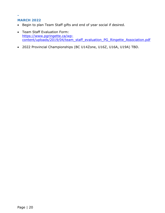## **MARCH 2022**

**-**

- Begin to plan Team Staff gifts and end of year social if desired.
- Team Staff Evaluation Form: [https://www.pgringette.ca/wp](https://www.pgringette.ca/wp-content/uploads/2019/04/team_staff_evaluation_PG_Ringette_Association.pdf)[content/uploads/2019/04/team\\_staff\\_evaluation\\_PG\\_Ringette\\_Association.pdf](https://www.pgringette.ca/wp-content/uploads/2019/04/team_staff_evaluation_PG_Ringette_Association.pdf)
- 2022 Provincial Championships (BC U14Zone, U16Z, U16A, U19A) TBD.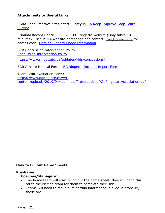### **Attachments or Useful Links**

PGRA Keep-Improve-Stop-Start Survey [PGRA Keep-Improve-Stop-Start](https://docs.google.com/forms/d/12yEZNoxSCfQ4pKq6Cw5DqHls6ua9mUA6gBbNiXevRpU/edit)  **[Survey](https://docs.google.com/forms/d/12yEZNoxSCfQ4pKq6Cw5DqHls6ua9mUA6gBbNiXevRpU/edit)** 

Criminal Record Check -ONLINE - PG Ringette website (Only takes 10 minutes) – see PGRA website homepage and contact *[info@pgringette.ca](mailto:info@pgringette.ca)* for access code. Criminal Record Check [Information](https://www2.gov.bc.ca/gov/content/safety/crime-prevention/criminal-record-check)

BCR Concussion Intervention Policy: [Concussion Intervention Policy](https://www.ringettebc.ca/wp-content/uploads/2019/08/1.12-Concussion-Intervention-Policy.pdf)

<https://www.ringettebc.ca/athletes/kids-concussions/>

BCR Athlete Medical Form: **[BC Ringette Incident Report Form](https://www.ringettebc.ca/wp-content/uploads/2017/06/Incident-Report-Form.pdf)** 

Team Staff Evaluation Form: [https://www.pgringette.ca/wp](https://www.pgringette.ca/wp-content/uploads/2019/04/team_staff_evaluation_PG_Ringette_Association.pdf)[content/uploads/2019/04/team\\_staff\\_evaluation\\_PG\\_Ringette\\_Association.pdf](https://www.pgringette.ca/wp-content/uploads/2019/04/team_staff_evaluation_PG_Ringette_Association.pdf)

#### **How to Fill out Game Sheets**

#### **Pre-Game**

#### **Coaches/Managers:**

- The home team will start filling out the game sheet, they will hand this off to the visiting team for them to complete their side.
- Teams will need to make sure certain information is filled in properly, these are: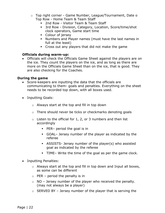- o Top right corner Game Number, League/Tournament, Date o Top Row - Home Team & Team Staff
	- 2nd Row Visitor Team & Team Staff
	- 3rd Row Division, Category, Location, Score/time/shot clock operators, Game start time
	- Colour of jersey
	- Numbers and Player names (must have the last names in full at the least)
	- Cross out any players that did not make the game

#### **Officials during warm-up:**

• Officials will check the Officials Game Sheet against the players are on the ice. They count the players on the ice, and as long as there are more on the Officials Game Sheet than on the ice, that is good. They are also checking for the Coaches.

#### **During the game**

- Score-keepers are inputting the data that the officials are communicating to them- goals and penalties. Everything on the sheet needs to be recorded top down, with all boxes used.
- Inputting Goals:
	- o Always start at the top and fill in top down
	- o There should never be ticks or checkmarks denoting goals
	- $\circ$  Listen to the official for 1, 2, or 3 numbers and then list accordingly
		- $\blacksquare$  PER– period the goal is in
		- GOAL– Jersey number of the player as indicated by the referee
		- **EXECTS- 18** ASSISTS- Jersey number of the player(s) who assisted goal as indicated by the referee
		- TIME– Write the time of the goal as per the game clock.
- Inputting Penalties:
	- o Always start at the top and fill in top down and Input all boxes, as some can be different
	- $\circ$  PER period the penalty is in
	- $\circ$  NO Jersey number of the player who received the penalty. (may not always be a player)
	- $\circ$  SERVED BY Jersey number of the player that is serving the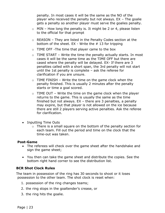penalty. In most cases it will be the same as the NO of the player who received the penalty but not always. EX – The goalie gets a penalty so another player must serve the goalies penalty.

- $\circ$  MIN How long the penalty is. It might be 2 or 4, please listen to the official for that prompt
- o REASON They are listed in the Penalty Codes section at the bottom of the sheet.  $EX - Write$  the  $#$  13 for tripping
- o TIME OFF -The time that player came to the box
- $\circ$  TIME START Write the time the penalty actually starts. In most cases it will be the same time as the TIME OFF but there are cased where the penalty will be delayed. EX- If there are 3 penalties called with a short span, the 3rd penalty will not start until the 1st penalty is complete – ask the referee for clarification if you are unsure.
- $\circ$  TIME FINISH Write the time on the game clock when the penalty finished. This is usually 2 minutes after the penalty starts or time a goal scored.
- $\circ$  TIME OUT Write the time on the game clock when the player returns to the game. This is usually the same as the time finished but not always. EX – there are 3 penalties, a penalty may expire, but that player is not allowed on the ice because there are still 2 players serving active penalties. Ask the referee for clarification.
- Inputting Time Outs
	- o There is a small square on the bottom of the penalty section for each team. Fill out the period and time on the clock that the time-out was taken.

#### **Post-Game**

- The referees will check over the game sheet after the handshake and sign the game sheet;
- You then can take the game sheet and distribute the copies. See the bottom right hand corner to see the distribution list.

### **BCR Shot Clock Rules**

The team in possession of the ring has 30 seconds to shoot or it loses possession to the other team. The shot clock is reset when:

- 1. possession of the ring changes teams;
- 2. the ring stops in the goaltender's crease, or
- 3. the ring hits the goalie.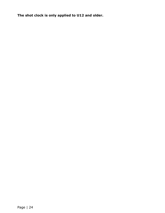**The shot clock is only applied to U12 and older.**